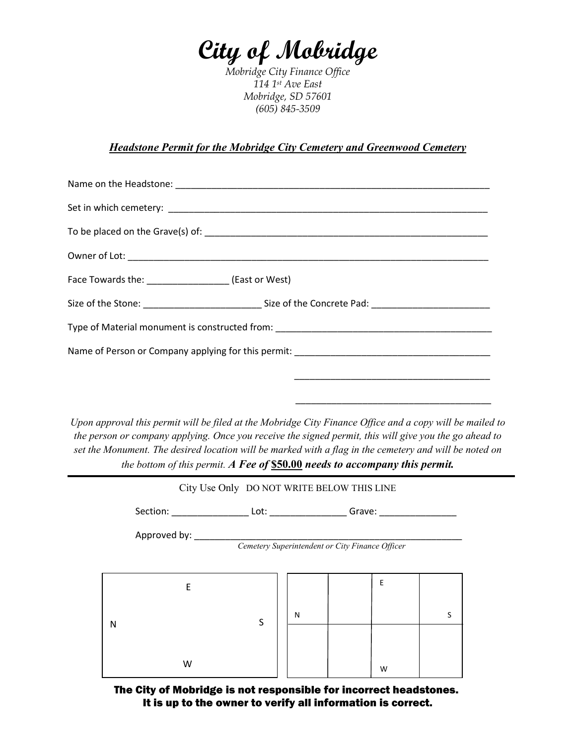# **City of Mobridge**

*Mobridge City Finance Office 114 1st Ave East Mobridge, SD 57601 (605) 845-3509*

# *Headstone Permit for the Mobridge City Cemetery and Greenwood Cemetery*

| Face Towards the: ____________________(East or West)                                                           |
|----------------------------------------------------------------------------------------------------------------|
| Size of the Stone: __________________________________Size of the Concrete Pad: _______________________________ |
|                                                                                                                |
|                                                                                                                |
|                                                                                                                |
|                                                                                                                |

*Upon approval this permit will be filed at the Mobridge City Finance Office and a copy will be mailed to the person or company applying. Once you receive the signed permit, this will give you the go ahead to set the Monument. The desired location will be marked with a flag in the cemetery and will be noted on the bottom of this permit. A Fee of* **\$50.00** *needs to accompany this permit.*

|   |                                                                 | City Use Only DO NOT WRITE BELOW THIS LINE                                       |   |  |   |   |  |
|---|-----------------------------------------------------------------|----------------------------------------------------------------------------------|---|--|---|---|--|
|   |                                                                 | Section: _____________________ Lot: ____________________Grave: _________________ |   |  |   |   |  |
|   | Approved by:<br>Cemetery Superintendent or City Finance Officer |                                                                                  |   |  |   |   |  |
|   | E                                                               |                                                                                  |   |  | E |   |  |
| N |                                                                 | S                                                                                | N |  |   | S |  |
|   | W                                                               |                                                                                  |   |  | W |   |  |

The City of Mobridge is not responsible for incorrect headstones. It is up to the owner to verify all information is correct.